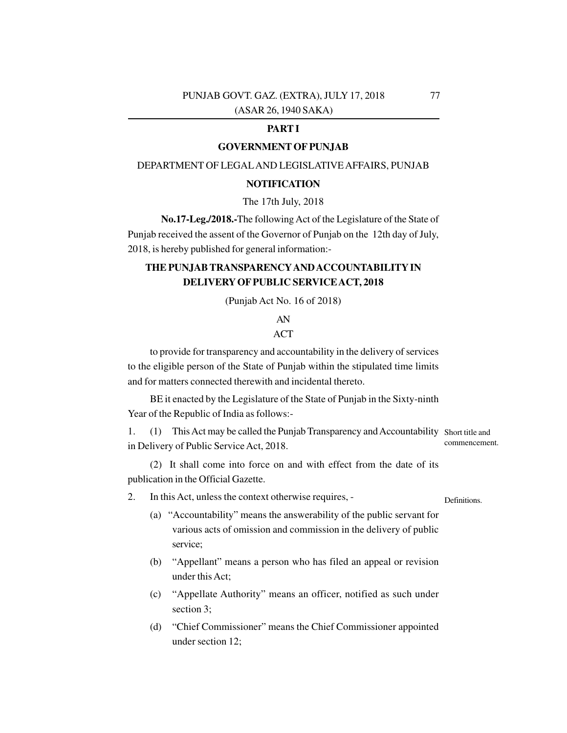### **PART I**

#### **GOVERNMENT OF PUNJAB**

#### DEPARTMENT OF LEGALAND LEGISLATIVE AFFAIRS, PUNJAB

#### **NOTIFICATION**

The 17th July, 2018

**No.17-Leg./2018.-**The following Act of the Legislature of the State of Punjab received the assent of the Governor of Punjab on the 12th day of July, 2018, is hereby published for general information:-

# **THE PUNJAB TRANSPARENCYAND ACCOUNTABILITY IN DELIVERY OF PUBLIC SERVICE ACT, 2018**

(Punjab Act No. 16 of 2018)

# AN

### ACT

to provide for transparency and accountability in the delivery of services to the eligible person of the State of Punjab within the stipulated time limits and for matters connected therewith and incidental thereto.

BE it enacted by the Legislature of the State of Punjab in the Sixty-ninth Year of the Republic of India as follows:-

1. (1) This Act may be called the Punjab Transparency and Accountability Short title and in Delivery of Public Service Act, 2018. commencement.

(2) It shall come into force on and with effect from the date of its publication in the Official Gazette.

2. In this Act, unless the context otherwise requires, -

**Definitions** 

- (a) "Accountability" means the answerability of the public servant for various acts of omission and commission in the delivery of public service;
- (b) "Appellant" means a person who has filed an appeal or revision under this Act;
- (c) "Appellate Authority" means an officer, notified as such under section 3;
- (d) "Chief Commissioner" means the Chief Commissioner appointed under section 12;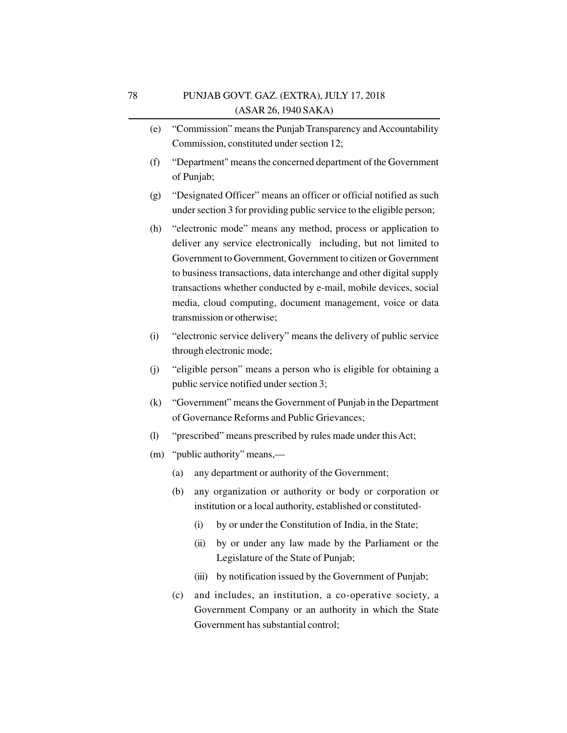- (e) "Commission" means the Punjab Transparency and Accountability Commission, constituted under section 12;
- (f) "Department" means the concerned department of the Government of Punjab;
- (g) "Designated Officer" means an officer or official notified as such under section 3 for providing public service to the eligible person;
- (h) "electronic mode" means any method, process or application to deliver any service electronically including, but not limited to Government to Government, Government to citizen or Government to business transactions, data interchange and other digital supply transactions whether conducted by e-mail, mobile devices, social media, cloud computing, document management, voice or data transmission or otherwise;
- (i) "electronic service delivery" means the delivery of public service through electronic mode;
- (j) "eligible person" means a person who is eligible for obtaining a public service notified under section 3;
- (k) "Government" means the Government of Punjab in the Department of Governance Reforms and Public Grievances;
- (l) "prescribed" means prescribed by rules made under this Act;
- (m) "public authority" means,—
	- (a) any department or authority of the Government;
	- (b) any organization or authority or body or corporation or institution or a local authority, established or constituted-
		- (i) by or under the Constitution of India, in the State;
		- (ii) by or under any law made by the Parliament or the Legislature of the State of Punjab;
		- (iii) by notification issued by the Government of Punjab;
	- (c) and includes, an institution, a co-operative society, a Government Company or an authority in which the State Government has substantial control;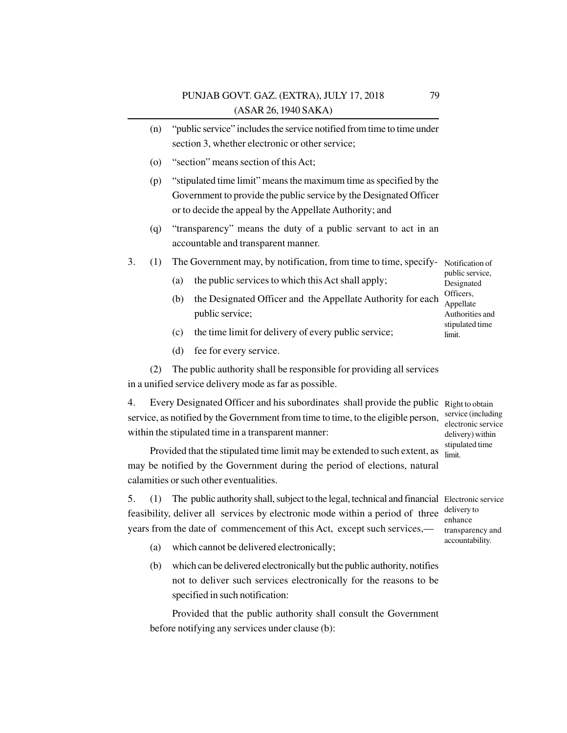- (n) "public service" includes the service notified from time to time under section 3, whether electronic or other service;
- (o) "section" means section of this Act;
- (p) "stipulated time limit" means the maximum time as specified by the Government to provide the public service by the Designated Officer or to decide the appeal by the Appellate Authority; and
- (q) "transparency" means the duty of a public servant to act in an accountable and transparent manner.
- 3. (1) The Government may, by notification, from time to time, specify- Notification of
	- (a) the public services to which this Act shall apply;
	- (b) the Designated Officer and the Appellate Authority for each public service; Authorities and
	- (c) the time limit for delivery of every public service;
	- (d) fee for every service.

(2) The public authority shall be responsible for providing all services in a unified service delivery mode as far as possible.

4. Every Designated Officer and his subordinates shall provide the public Right to obtain service, as notified by the Government from time to time, to the eligible person, within the stipulated time in a transparent manner:

Provided that the stipulated time limit may be extended to such extent, as may be notified by the Government during the period of elections, natural calamities or such other eventualities.

5. (1) The public authority shall, subject to the legal, technical and financial Electronic service feasibility, deliver all services by electronic mode within a period of three years from the date of commencement of this Act, except such services,—

- (a) which cannot be delivered electronically;
- (b) which can be delivered electronically but the public authority, notifies not to deliver such services electronically for the reasons to be specified in such notification:

Provided that the public authority shall consult the Government before notifying any services under clause (b):

service (including electronic service delivery) within stipulated time limit.

delivery to enhance transparency and accountability.

public service, Designated Officers, Appellate

stipulated time limit.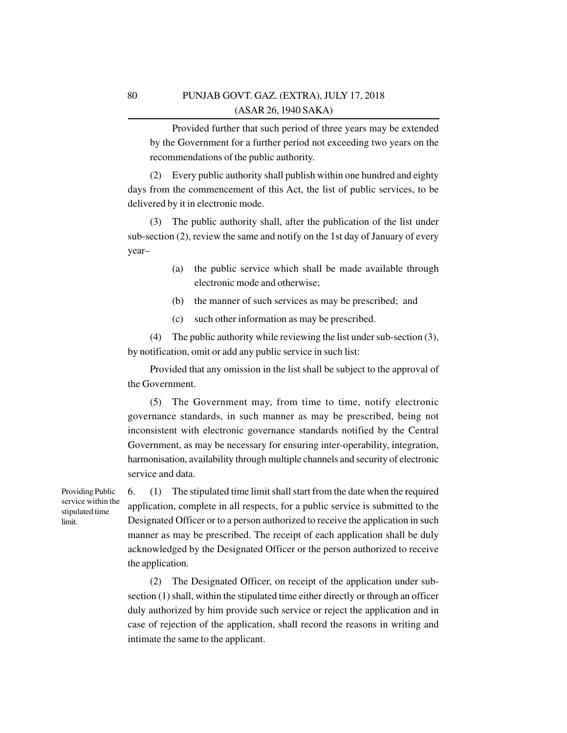Provided further that such period of three years may be extended by the Government for a further period not exceeding two years on the recommendations of the public authority.

(2) Every public authority shall publish within one hundred and eighty days from the commencement of this Act, the list of public services, to be delivered by it in electronic mode.

The public authority shall, after the publication of the list under sub-section (2), review the same and notify on the 1st day of January of every year–

- (a) the public service which shall be made available through electronic mode and otherwise;
- (b) the manner of such services as may be prescribed; and
- (c) such other information as may be prescribed.

(4) The public authority while reviewing the list under sub-section (3), by notification, omit or add any public service in such list:

Provided that any omission in the list shall be subject to the approval of the Government.

(5) The Government may, from time to time, notify electronic governance standards, in such manner as may be prescribed, being not inconsistent with electronic governance standards notified by the Central Government, as may be necessary for ensuring inter-operability, integration, harmonisation, availability through multiple channels and security of electronic service and data.

Providing Public service within the stipulated time limit.

6. (1) The stipulated time limit shall start from the date when the required application, complete in all respects, for a public service is submitted to the Designated Officer or to a person authorized to receive the application in such manner as may be prescribed. The receipt of each application shall be duly acknowledged by the Designated Officer or the person authorized to receive the application.

(2) The Designated Officer, on receipt of the application under subsection (1) shall, within the stipulated time either directly or through an officer duly authorized by him provide such service or reject the application and in case of rejection of the application, shall record the reasons in writing and intimate the same to the applicant.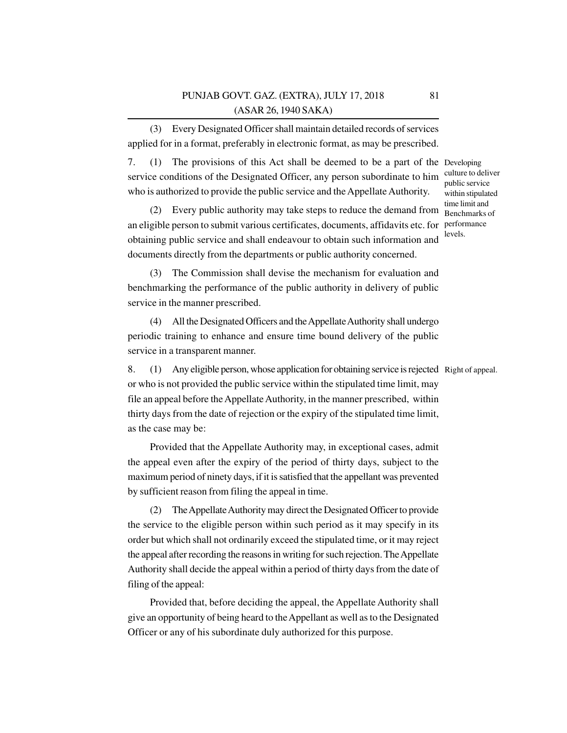(3) Every Designated Officer shall maintain detailed records of services applied for in a format, preferably in electronic format, as may be prescribed.

7. (1) The provisions of this Act shall be deemed to be a part of the Developing service conditions of the Designated Officer, any person subordinate to him who is authorized to provide the public service and the Appellate Authority.

(2) Every public authority may take steps to reduce the demand from an eligible person to submit various certificates, documents, affidavits etc. for performance obtaining public service and shall endeavour to obtain such information and documents directly from the departments or public authority concerned.

(3) The Commission shall devise the mechanism for evaluation and benchmarking the performance of the public authority in delivery of public service in the manner prescribed.

(4) All the Designated Officers and the Appellate Authority shall undergo periodic training to enhance and ensure time bound delivery of the public service in a transparent manner.

8. (1) Any eligible person, whose application for obtaining service is rejected Right of appeal.or who is not provided the public service within the stipulated time limit, may file an appeal before the Appellate Authority, in the manner prescribed, within thirty days from the date of rejection or the expiry of the stipulated time limit, as the case may be:

Provided that the Appellate Authority may, in exceptional cases, admit the appeal even after the expiry of the period of thirty days, subject to the maximum period of ninety days, if it is satisfied that the appellant was prevented by sufficient reason from filing the appeal in time.

(2) The Appellate Authority may direct the Designated Officer to provide the service to the eligible person within such period as it may specify in its order but which shall not ordinarily exceed the stipulated time, or it may reject the appeal after recording the reasons in writing for such rejection. The Appellate Authority shall decide the appeal within a period of thirty days from the date of filing of the appeal:

Provided that, before deciding the appeal, the Appellate Authority shall give an opportunity of being heard to the Appellant as well as to the Designated Officer or any of his subordinate duly authorized for this purpose.

culture to deliver public service within stipulated time limit and Benchmarks of levels.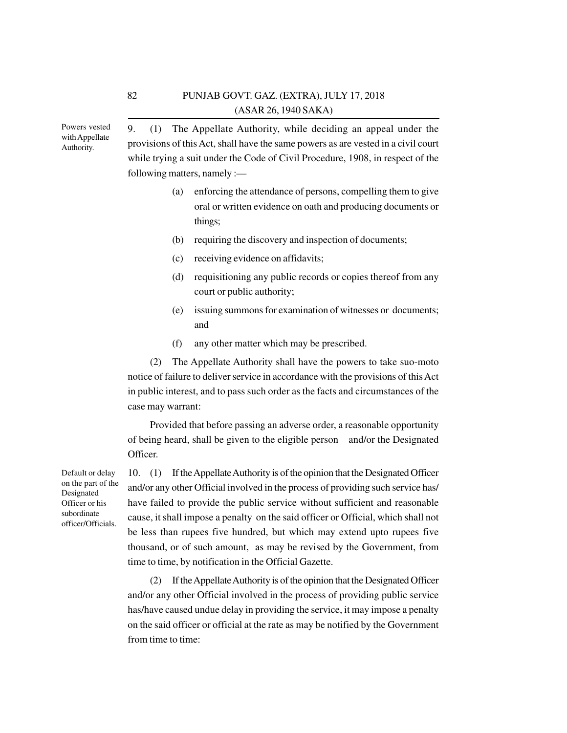Powers vested with Appellate Authority.

9. (1) The Appellate Authority, while deciding an appeal under the provisions of this Act, shall have the same powers as are vested in a civil court while trying a suit under the Code of Civil Procedure, 1908, in respect of the following matters, namely :—

- (a) enforcing the attendance of persons, compelling them to give oral or written evidence on oath and producing documents or things;
- (b) requiring the discovery and inspection of documents;
- (c) receiving evidence on affidavits;
- (d) requisitioning any public records or copies thereof from any court or public authority;
- (e) issuing summons for examination of witnesses or documents; and
- (f) any other matter which may be prescribed.

(2) The Appellate Authority shall have the powers to take suo-moto notice of failure to deliver service in accordance with the provisions of this Act in public interest, and to pass such order as the facts and circumstances of the case may warrant:

Provided that before passing an adverse order, a reasonable opportunity of being heard, shall be given to the eligible person and/or the Designated Officer.

Default or delay on the part of the Designated Officer or his subordinate officer/Officials.

10. (1) If the Appellate Authority is of the opinion that the Designated Officer and/or any other Official involved in the process of providing such service has/ have failed to provide the public service without sufficient and reasonable cause, it shall impose a penalty on the said officer or Official, which shall not be less than rupees five hundred, but which may extend upto rupees five thousand, or of such amount, as may be revised by the Government, from time to time, by notification in the Official Gazette.

(2) If the Appellate Authority is of the opinion that the Designated Officer and/or any other Official involved in the process of providing public service has/have caused undue delay in providing the service, it may impose a penalty on the said officer or official at the rate as may be notified by the Government from time to time: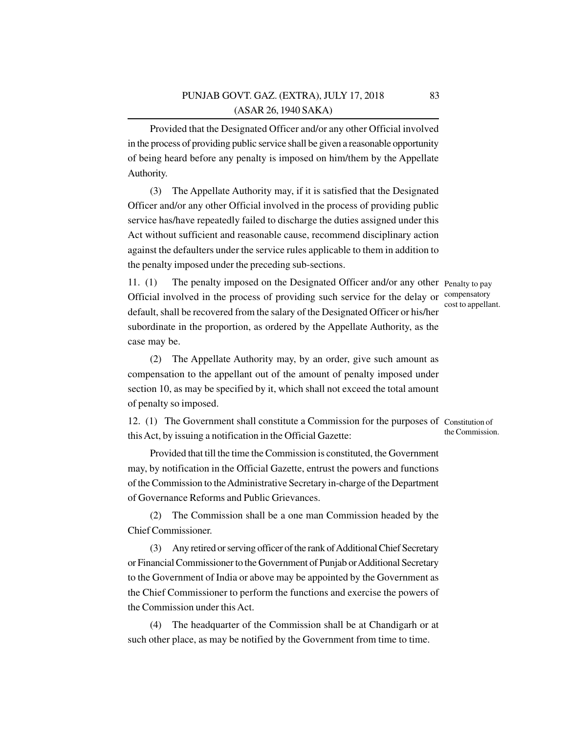Provided that the Designated Officer and/or any other Official involved in the process of providing public service shall be given a reasonable opportunity of being heard before any penalty is imposed on him/them by the Appellate Authority.

(3) The Appellate Authority may, if it is satisfied that the Designated Officer and/or any other Official involved in the process of providing public service has/have repeatedly failed to discharge the duties assigned under this Act without sufficient and reasonable cause, recommend disciplinary action against the defaulters under the service rules applicable to them in addition to the penalty imposed under the preceding sub-sections.

11. (1) The penalty imposed on the Designated Officer and/or any other Penalty to pay Official involved in the process of providing such service for the delay or default, shall be recovered from the salary of the Designated Officer or his/her subordinate in the proportion, as ordered by the Appellate Authority, as the case may be.

compensatory cost to appellant.

(2) The Appellate Authority may, by an order, give such amount as compensation to the appellant out of the amount of penalty imposed under section 10, as may be specified by it, which shall not exceed the total amount of penalty so imposed.

12. (1) The Government shall constitute a Commission for the purposes of Constitution of this Act, by issuing a notification in the Official Gazette: the Commission.

Provided that till the time the Commission is constituted, the Government may, by notification in the Official Gazette, entrust the powers and functions of the Commission to the Administrative Secretary in-charge of the Department of Governance Reforms and Public Grievances.

(2) The Commission shall be a one man Commission headed by the Chief Commissioner.

(3) Any retired or serving officer of the rank of Additional Chief Secretary or Financial Commissioner to the Government of Punjab or Additional Secretary to the Government of India or above may be appointed by the Government as the Chief Commissioner to perform the functions and exercise the powers of the Commission under this Act.

(4) The headquarter of the Commission shall be at Chandigarh or at such other place, as may be notified by the Government from time to time.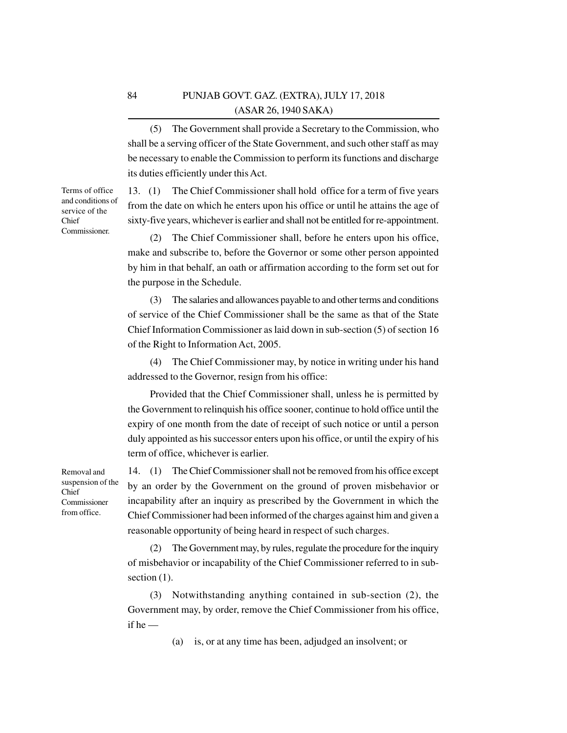(5) The Government shall provide a Secretary to the Commission, who shall be a serving officer of the State Government, and such other staff as may be necessary to enable the Commission to perform its functions and discharge its duties efficiently under this Act.

13. (1) The Chief Commissioner shall hold office for a term of five years from the date on which he enters upon his office or until he attains the age of sixty-five years, whichever is earlier and shall not be entitled for re-appointment.

(2) The Chief Commissioner shall, before he enters upon his office, make and subscribe to, before the Governor or some other person appointed by him in that behalf, an oath or affirmation according to the form set out for the purpose in the Schedule.

The salaries and allowances payable to and other terms and conditions of service of the Chief Commissioner shall be the same as that of the State Chief Information Commissioner as laid down in sub-section (5) of section 16 of the Right to Information Act, 2005.

(4) The Chief Commissioner may, by notice in writing under his hand addressed to the Governor, resign from his office:

Provided that the Chief Commissioner shall, unless he is permitted by the Government to relinquish his office sooner, continue to hold office until the expiry of one month from the date of receipt of such notice or until a person duly appointed as his successor enters upon his office, or until the expiry of his term of office, whichever is earlier.

14. (1) The Chief Commissioner shall not be removed from his office except by an order by the Government on the ground of proven misbehavior or incapability after an inquiry as prescribed by the Government in which the Chief Commissioner had been informed of the charges against him and given a reasonable opportunity of being heard in respect of such charges.

(2) The Government may, by rules, regulate the procedure for the inquiry of misbehavior or incapability of the Chief Commissioner referred to in subsection  $(1)$ .

(3) Notwithstanding anything contained in sub-section (2), the Government may, by order, remove the Chief Commissioner from his office, if he —

(a) is, or at any time has been, adjudged an insolvent; or

Removal and suspension of the Chief Commissioner from office.

Terms of office and conditions of service of the Chief Commissioner.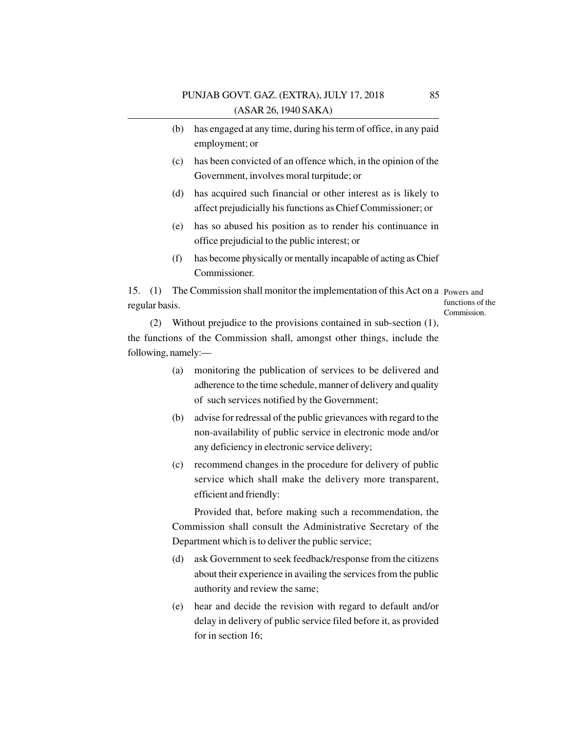- (b) has engaged at any time, during his term of office, in any paid employment; or
- (c) has been convicted of an offence which, in the opinion of the Government, involves moral turpitude; or
- (d) has acquired such financial or other interest as is likely to affect prejudicially his functions as Chief Commissioner; or
- (e) has so abused his position as to render his continuance in office prejudicial to the public interest; or
- (f) has become physically or mentally incapable of acting as Chief Commissioner.

15. (1) The Commission shall monitor the implementation of this Act on a Powers and regular basis.

functions of the Commission.

(2) Without prejudice to the provisions contained in sub-section (1), the functions of the Commission shall, amongst other things, include the following, namely:—

- (a) monitoring the publication of services to be delivered and adherence to the time schedule, manner of delivery and quality of such services notified by the Government;
- (b) advise for redressal of the public grievances with regard to the non-availability of public service in electronic mode and/or any deficiency in electronic service delivery;
- (c) recommend changes in the procedure for delivery of public service which shall make the delivery more transparent, efficient and friendly:

Provided that, before making such a recommendation, the Commission shall consult the Administrative Secretary of the Department which is to deliver the public service;

- (d) ask Government to seek feedback/response from the citizens about their experience in availing the services from the public authority and review the same;
- (e) hear and decide the revision with regard to default and/or delay in delivery of public service filed before it, as provided for in section 16;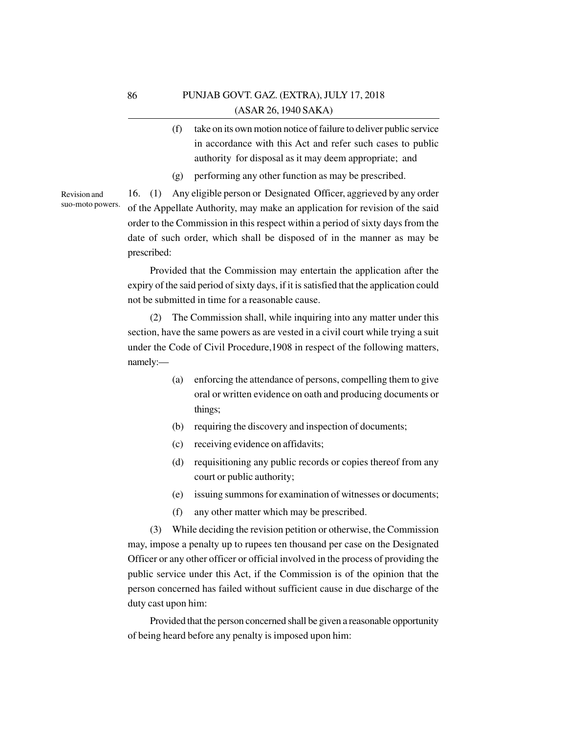- (f) take on its own motion notice of failure to deliver public service in accordance with this Act and refer such cases to public authority for disposal as it may deem appropriate; and
- (g) performing any other function as may be prescribed.

Revision and suo-moto powers.

16. (1) Any eligible person or Designated Officer, aggrieved by any order of the Appellate Authority, may make an application for revision of the said order to the Commission in this respect within a period of sixty days from the date of such order, which shall be disposed of in the manner as may be prescribed:

Provided that the Commission may entertain the application after the expiry of the said period of sixty days, if it is satisfied that the application could not be submitted in time for a reasonable cause.

(2) The Commission shall, while inquiring into any matter under this section, have the same powers as are vested in a civil court while trying a suit under the Code of Civil Procedure,1908 in respect of the following matters, namely:—

- (a) enforcing the attendance of persons, compelling them to give oral or written evidence on oath and producing documents or things;
- (b) requiring the discovery and inspection of documents;
- (c) receiving evidence on affidavits;
- (d) requisitioning any public records or copies thereof from any court or public authority;
- (e) issuing summons for examination of witnesses or documents;
- (f) any other matter which may be prescribed.

(3) While deciding the revision petition or otherwise, the Commission may, impose a penalty up to rupees ten thousand per case on the Designated Officer or any other officer or official involved in the process of providing the public service under this Act, if the Commission is of the opinion that the person concerned has failed without sufficient cause in due discharge of the duty cast upon him:

Provided that the person concerned shall be given a reasonable opportunity of being heard before any penalty is imposed upon him: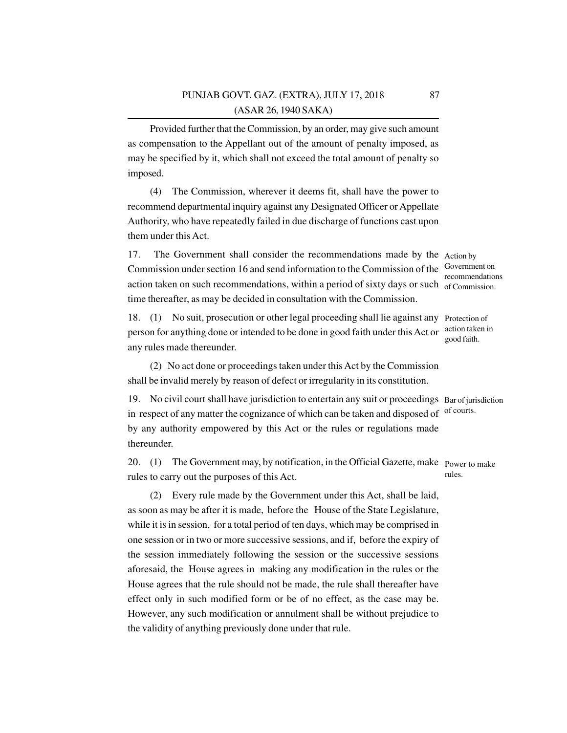Provided further that the Commission, by an order, may give such amount as compensation to the Appellant out of the amount of penalty imposed, as may be specified by it, which shall not exceed the total amount of penalty so imposed.

(4) The Commission, wherever it deems fit, shall have the power to recommend departmental inquiry against any Designated Officer or Appellate Authority, who have repeatedly failed in due discharge of functions cast upon them under this Act.

17. The Government shall consider the recommendations made by the Action by Commission under section 16 and send information to the Commission of the Government on action taken on such recommendations, within a period of sixty days or such of Commission. time thereafter, as may be decided in consultation with the Commission.

18. (1) No suit, prosecution or other legal proceeding shall lie against any Protection of person for anything done or intended to be done in good faith under this Act or any rules made thereunder.

(2) No act done or proceedings taken under this Act by the Commission shall be invalid merely by reason of defect or irregularity in its constitution.

19. No civil court shall have jurisdiction to entertain any suit or proceedings Bar of jurisdiction in respect of any matter the cognizance of which can be taken and disposed of by any authority empowered by this Act or the rules or regulations made thereunder. of courts.

20. (1) The Government may, by notification, in the Official Gazette, make Power to make rules to carry out the purposes of this Act. rules.

(2) Every rule made by the Government under this Act, shall be laid, as soon as may be after it is made, before the House of the State Legislature, while it is in session, for a total period of ten days, which may be comprised in one session or in two or more successive sessions, and if, before the expiry of the session immediately following the session or the successive sessions aforesaid, the House agrees in making any modification in the rules or the House agrees that the rule should not be made, the rule shall thereafter have effect only in such modified form or be of no effect, as the case may be. However, any such modification or annulment shall be without prejudice to the validity of anything previously done under that rule.

recommendations

action taken in good faith.